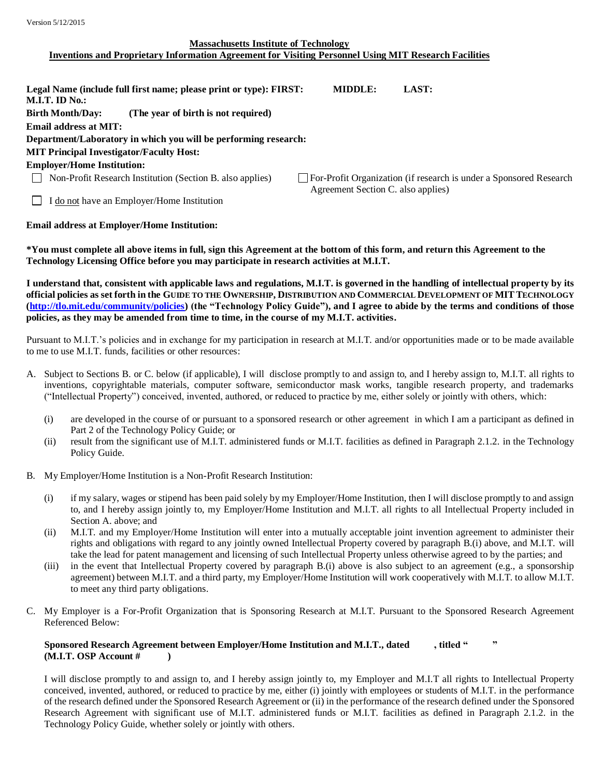## **Massachusetts Institute of Technology Inventions and Proprietary Information Agreement for Visiting Personnel Using MIT Research Facilities**

| Legal Name (include full first name; please print or type): FIRST:<br><b>MIDDLE:</b> | LAST:                                                                |
|--------------------------------------------------------------------------------------|----------------------------------------------------------------------|
|                                                                                      |                                                                      |
|                                                                                      |                                                                      |
|                                                                                      |                                                                      |
|                                                                                      |                                                                      |
| Department/Laboratory in which you will be performing research:                      |                                                                      |
|                                                                                      |                                                                      |
|                                                                                      |                                                                      |
|                                                                                      | □ For-Profit Organization (if research is under a Sponsored Research |
|                                                                                      |                                                                      |
|                                                                                      |                                                                      |
|                                                                                      | Agreement Section C. also applies)                                   |

## **Email address at Employer/Home Institution:**

**\*You must complete all above items in full, sign this Agreement at the bottom of this form, and return this Agreement to the Technology Licensing Office before you may participate in research activities at M.I.T.**

**I understand that, consistent with applicable laws and regulations, M.I.T. is governed in the handling of intellectual property by its official policies as set forth in the GUIDE TO THE OWNERSHIP, D[ISTRIBUTION AND](http://web.mit.edu/tlo/www/community/policies.html) COMMERCIAL DEVELOPMENT OF MITTECHNOLOGY [\(http://tlo.mit.edu/community/policies\)](http://tlo.mit.edu/community/policies) (the "Technology Policy Guide"), and I agree to abide by the terms and conditions of those policies, as they may be amended from time to time, in the course of my M.I.T. activities.**

Pursuant to M.I.T.'s policies and in exchange for my participation in research at M.I.T. and/or opportunities made or to be made available to me to use M.I.T. funds, facilities or other resources:

- A. Subject to Sections B. or C. below (if applicable), I will disclose promptly to and assign to, and I hereby assign to, M.I.T. all rights to inventions, copyrightable materials, computer software, semiconductor mask works, tangible research property, and trademarks ("Intellectual Property") conceived, invented, authored, or reduced to practice by me, either solely or jointly with others, which:
	- (i) are developed in the course of or pursuant to a sponsored research or other agreement in which I am a participant as defined in Part 2 of the Technology Policy Guide; or
	- (ii) result from the significant use of M.I.T. administered funds or M.I.T. facilities as defined in Paragraph 2.1.2. in the Technology Policy Guide.
- B. My Employer/Home Institution is a Non-Profit Research Institution:
	- (i) if my salary, wages or stipend has been paid solely by my Employer/Home Institution, then I will disclose promptly to and assign to, and I hereby assign jointly to, my Employer/Home Institution and M.I.T. all rights to all Intellectual Property included in Section A. above; and
	- (ii) M.I.T. and my Employer/Home Institution will enter into a mutually acceptable joint invention agreement to administer their rights and obligations with regard to any jointly owned Intellectual Property covered by paragraph B.(i) above, and M.I.T. will take the lead for patent management and licensing of such Intellectual Property unless otherwise agreed to by the parties; and
	- (iii) in the event that Intellectual Property covered by paragraph B.(i) above is also subject to an agreement (e.g., a sponsorship agreement) between M.I.T. and a third party, my Employer/Home Institution will work cooperatively with M.I.T. to allow M.I.T. to meet any third party obligations.
- C. My Employer is a For-Profit Organization that is Sponsoring Research at M.I.T. Pursuant to the Sponsored Research Agreement Referenced Below:

## **Sponsored Research Agreement between Employer/Home Institution and M.I.T., dated , titled " " (M.I.T. OSP Account # )**

I will disclose promptly to and assign to, and I hereby assign jointly to, my Employer and M.I.T all rights to Intellectual Property conceived, invented, authored, or reduced to practice by me, either (i) jointly with employees or students of M.I.T. in the performance of the research defined under the Sponsored Research Agreement or (ii) in the performance of the research defined under the Sponsored Research Agreement with significant use of M.I.T. administered funds or M.I.T. facilities as defined in Paragraph 2.1.2. in the Technology Policy Guide, whether solely or jointly with others.